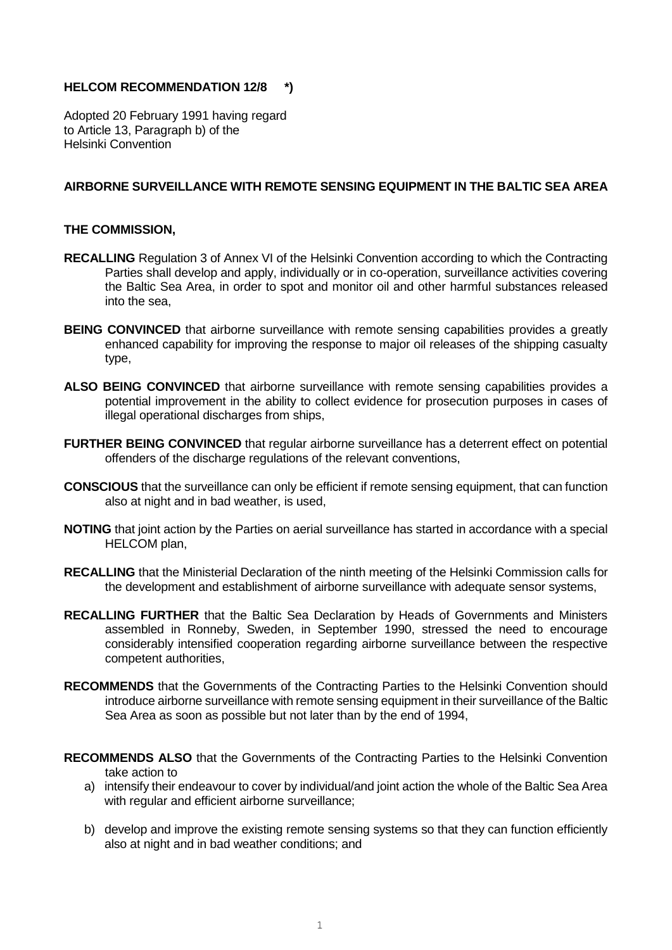## **HELCOM RECOMMENDATION 12/8 \*)**

Adopted 20 February 1991 having regard to Article 13, Paragraph b) of the Helsinki Convention

## **AIRBORNE SURVEILLANCE WITH REMOTE SENSING EQUIPMENT IN THE BALTIC SEA AREA**

## **THE COMMISSION,**

- **RECALLING** Regulation 3 of Annex VI of the Helsinki Convention according to which the Contracting Parties shall develop and apply, individually or in co-operation, surveillance activities covering the Baltic Sea Area, in order to spot and monitor oil and other harmful substances released into the sea,
- **BEING CONVINCED** that airborne surveillance with remote sensing capabilities provides a greatly enhanced capability for improving the response to major oil releases of the shipping casualty type,
- ALSO BEING CONVINCED that airborne surveillance with remote sensing capabilities provides a potential improvement in the ability to collect evidence for prosecution purposes in cases of illegal operational discharges from ships,
- **FURTHER BEING CONVINCED** that regular airborne surveillance has a deterrent effect on potential offenders of the discharge regulations of the relevant conventions,
- **CONSCIOUS** that the surveillance can only be efficient if remote sensing equipment, that can function also at night and in bad weather, is used.
- **NOTING** that joint action by the Parties on aerial surveillance has started in accordance with a special HELCOM plan,
- **RECALLING** that the Ministerial Declaration of the ninth meeting of the Helsinki Commission calls for the development and establishment of airborne surveillance with adequate sensor systems,
- **RECALLING FURTHER** that the Baltic Sea Declaration by Heads of Governments and Ministers assembled in Ronneby, Sweden, in September 1990, stressed the need to encourage considerably intensified cooperation regarding airborne surveillance between the respective competent authorities,
- **RECOMMENDS** that the Governments of the Contracting Parties to the Helsinki Convention should introduce airborne surveillance with remote sensing equipment in their surveillance of the Baltic Sea Area as soon as possible but not later than by the end of 1994,
- **RECOMMENDS ALSO** that the Governments of the Contracting Parties to the Helsinki Convention take action to
	- a) intensify their endeavour to cover by individual/and joint action the whole of the Baltic Sea Area with regular and efficient airborne surveillance;
	- b) develop and improve the existing remote sensing systems so that they can function efficiently also at night and in bad weather conditions; and